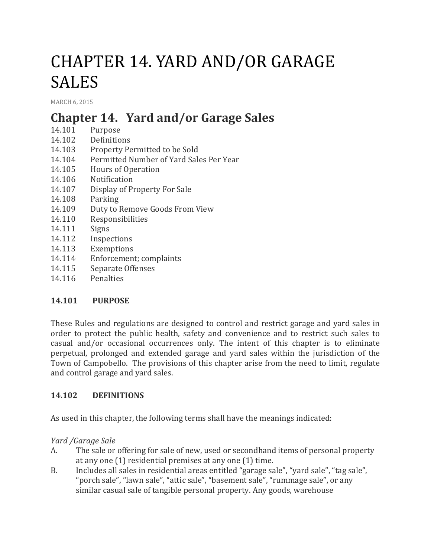# CHAPTER 14. YARD AND/OR GARAGE SALES

[MARCH](http://townofcampobello.us/chapter-14-yard-andor-garage-sales/) 6, 2015

# **Chapter 14. Yard and/or Garage Sales**

- 14.101 Purpose
- 14.102 Definitions
- 14.103 Property Permitted to be Sold
- 14.104 Permitted Number of Yard Sales Per Year
- 14.105 Hours of Operation
- 14.106 Notification
- 14.107 Display of Property For Sale
- 14.108 Parking
- 14.109 Duty to Remove Goods From View
- 14.110 Responsibilities
- 14.111 Signs
- 14.112 Inspections
- 14.113 Exemptions
- 14.114 Enforcement; complaints
- 14.115 Separate Offenses
- 14.116 Penalties

# **14.101 PURPOSE**

These Rules and regulations are designed to control and restrict garage and yard sales in order to protect the public health, safety and convenience and to restrict such sales to casual and/or occasional occurrences only. The intent of this chapter is to eliminate perpetual, prolonged and extended garage and yard sales within the jurisdiction of the Town of Campobello. The provisions of this chapter arise from the need to limit, regulate and control garage and yard sales.

# **14.102 DEFINITIONS**

As used in this chapter, the following terms shall have the meanings indicated:

*Yard /Garage Sale*

- A. The sale or offering for sale of new, used or secondhand items of personal property at any one (1) residential premises at any one (1) time.
- B. Includes all sales in residential areas entitled "garage sale", "yard sale", "tag sale", "porch sale", "lawn sale", "attic sale", "basement sale", "rummage sale", or any similar casual sale of tangible personal property. Any goods, warehouse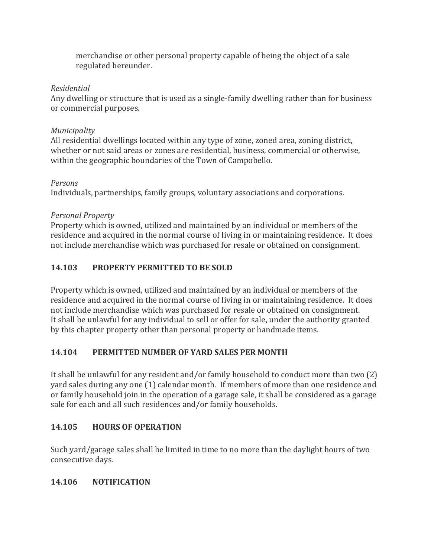merchandise or other personal property capable of being the object of a sale regulated hereunder.

#### *Residential*

Any dwelling or structure that is used as a single-family dwelling rather than for business or commercial purposes.

#### *Municipality*

All residential dwellings located within any type of zone, zoned area, zoning district, whether or not said areas or zones are residential, business, commercial or otherwise, within the geographic boundaries of the Town of Campobello.

# *Persons*

Individuals, partnerships, family groups, voluntary associations and corporations.

# *Personal Property*

Property which is owned, utilized and maintained by an individual or members of the residence and acquired in the normal course of living in or maintaining residence. It does not include merchandise which was purchased for resale or obtained on consignment.

# **14.103 PROPERTY PERMITTED TO BE SOLD**

Property which is owned, utilized and maintained by an individual or members of the residence and acquired in the normal course of living in or maintaining residence. It does not include merchandise which was purchased for resale or obtained on consignment. It shall be unlawful for any individual to sell or offer for sale, under the authority granted by this chapter property other than personal property or handmade items.

# **14.104 PERMITTED NUMBER OF YARD SALES PER MONTH**

It shall be unlawful for any resident and/or family household to conduct more than two (2) yard sales during any one (1) calendar month. If members of more than one residence and or family household join in the operation of a garage sale, it shall be considered as a garage sale for each and all such residences and/or family households.

# **14.105 HOURS OF OPERATION**

Such yard/garage sales shall be limited in time to no more than the daylight hours of two consecutive days.

# **14.106 NOTIFICATION**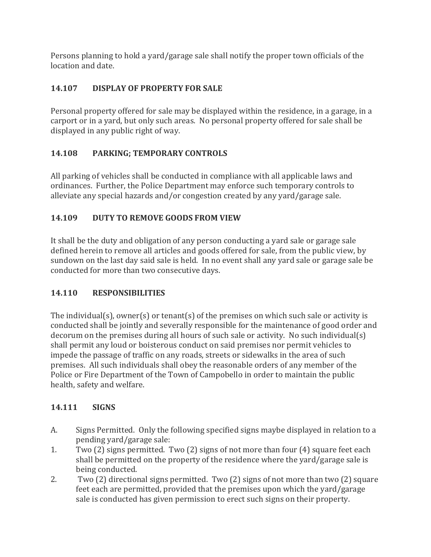Persons planning to hold a yard/garage sale shall notify the proper town officials of the location and date.

# **14.107 DISPLAY OF PROPERTY FOR SALE**

Personal property offered for sale may be displayed within the residence, in a garage, in a carport or in a yard, but only such areas. No personal property offered for sale shall be displayed in any public right of way.

# **14.108 PARKING; TEMPORARY CONTROLS**

All parking of vehicles shall be conducted in compliance with all applicable laws and ordinances. Further, the Police Department may enforce such temporary controls to alleviate any special hazards and/or congestion created by any yard/garage sale.

# **14.109 DUTY TO REMOVE GOODS FROM VIEW**

It shall be the duty and obligation of any person conducting a yard sale or garage sale defined herein to remove all articles and goods offered for sale, from the public view, by sundown on the last day said sale is held. In no event shall any yard sale or garage sale be conducted for more than two consecutive days.

# **14.110 RESPONSIBILITIES**

The individual(s), owner(s) or tenant(s) of the premises on which such sale or activity is conducted shall be jointly and severally responsible for the maintenance of good order and decorum on the premises during all hours of such sale or activity. No such individual(s) shall permit any loud or boisterous conduct on said premises nor permit vehicles to impede the passage of traffic on any roads, streets or sidewalks in the area of such premises. All such individuals shall obey the reasonable orders of any member of the Police or Fire Department of the Town of Campobello in order to maintain the public health, safety and welfare.

# **14.111 SIGNS**

- A. Signs Permitted. Only the following specified signs maybe displayed in relation to a pending yard/garage sale:
- 1. Two (2) signs permitted. Two (2) signs of not more than four (4) square feet each shall be permitted on the property of the residence where the yard/garage sale is being conducted.
- 2. Two (2) directional signs permitted. Two (2) signs of not more than two (2) square feet each are permitted, provided that the premises upon which the yard/garage sale is conducted has given permission to erect such signs on their property.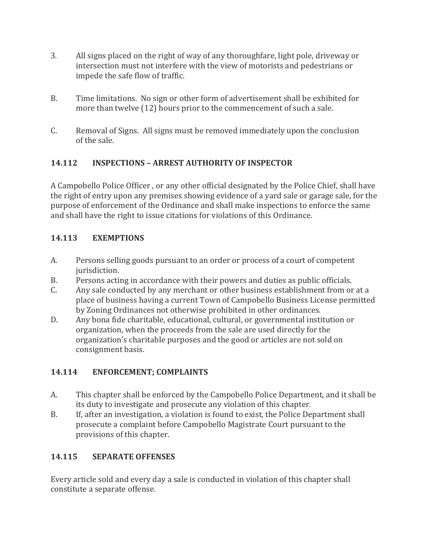- 3. All signs placed on the right of way of any thoroughfare, light pole, driveway or intersection must not interfere with the view of motorists and pedestrians or impede the safe flow of traffic.
- B. Time limitations. No sign or other form of advertisement shall be exhibited for more than twelve (12) hours prior to the commencement of such a sale.
- C. Removal of Signs. All signs must be removed immediately upon the conclusion of the sale.

#### **14.112 INSPECTIONS – ARREST AUTHORITY OF INSPECTOR**

A Campobello Police Officer , or any other official designated by the Police Chief, shall have the right of entry upon any premises showing evidence of a yard sale or garage sale, for the purpose of enforcement of the Ordinance and shall make inspections to enforce the same and shall have the right to issue citations for violations of this Ordinance.

#### **14.113 EXEMPTIONS**

- A. Persons selling goods pursuant to an order or process of a court of competent jurisdiction.
- B. Persons acting in accordance with their powers and duties as public officials.
- C. Any sale conducted by any merchant or other business establishment from or at a place of business having a current Town of Campobello Business License permitted by Zoning Ordinances not otherwise prohibited in other ordinances.
- D. Any bona fide charitable, educational, cultural, or governmental institution or organization, when the proceeds from the sale are used directly for the organization's charitable purposes and the good or articles are not sold on consignment basis.

# **14.114 ENFORCEMENT; COMPLAINTS**

- A. This chapter shall be enforced by the Campobello Police Department, and it shall be its duty to investigate and prosecute any violation of this chapter.
- B. If, after an investigation, a violation is found to exist, the Police Department shall prosecute a complaint before Campobello Magistrate Court pursuant to the provisions of this chapter.

# **14.115 SEPARATE OFFENSES**

Every article sold and every day a sale is conducted in violation of this chapter shall constitute a separate offense.